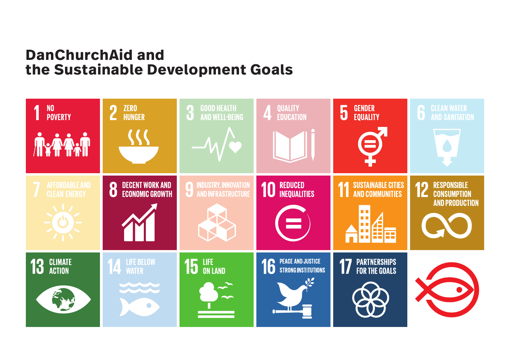# **DanChurchAid and the Sustainable Development Goals**

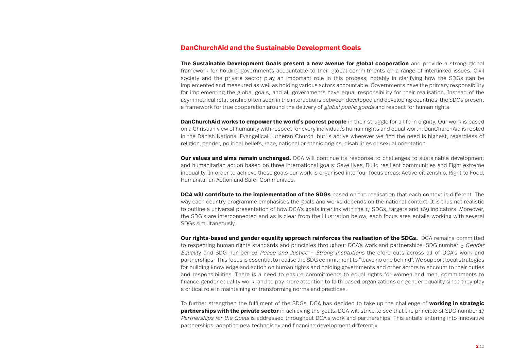## **DanChurchAid and the Sustainable Development Goals**

**The Sustainable Development Goals present a new avenue for global cooperation** and provide a strong global framework for holding governments accountable to their global commitments on a range of interlinked issues. Civil society and the private sector play an important role in this process; notably in clarifying how the SDGs can be implemented and measured as well as holding various actors accountable. Governments have the primary responsibility for implementing the global goals, and all governments have equal responsibility for their realisation. Instead of the asymmetrical relationship often seen in the interactions between developed and developing countries, the SDGs present a framework for true cooperation around the delivery of *global public goods* and respect for human rights.

**DanChurchAid works to empower the world's poorest people** in their struggle for a life in dignity. Our work is based on a Christian view of humanity with respect for every individual's human rights and equal worth. DanChurchAid is rooted in the Danish National Evangelical Lutheran Church, but is active wherever we find the need is highest, regardless of religion, gender, political beliefs, race, national or ethnic origins, disabilities or sexual orientation.

**Our values and aims remain unchanged.** DCA will continue its response to challenges to sustainable development and humanitarian action based on three international goals: Save lives, Build resilient communities and Fight extreme inequality. In order to achieve these goals our work is organised into four focus areas: Active citizenship, Right to Food, Humanitarian Action and Safer Communities.

**DCA will contribute to the implementation of the SDGs** based on the realisation that each context is different. The way each country programme emphasises the goals and works depends on the national context. It is thus not realistic to outline a universal presentation of how DCA's goals interlink with the 17 SDGs, targets and 169 indicators. Moreover, the SDG's are interconnected and as is clear from the illustration below, each focus area entails working with several SDGs simultaneously.

**Our rights-based and gender equality approach reinforces the realisation of the SDGs.** DCA remains committed to respecting human rights standards and principles throughout DCA's work and partnerships. SDG number 5 Gender Equality and SDG number 16 Peace and Justice – Strong Institutions therefore cuts across all of DCA's work and partnerships. This focus is essential to realise the SDG commitment to "leave no one behind". We support local strategies for building knowledge and action on human rights and holding governments and other actors to account to their duties and responsibilities. There is a need to ensure commitments to equal rights for women and men, commitments to finance gender equality work, and to pay more attention to faith based organizations on gender equality since they play a critical role in maintaining or transforming norms and practices.

To further strengthen the fulfilment of the SDGs, DCA has decided to take up the challenge of **working in strategic partnerships with the private sector** in achieving the goals. DCA will strive to see that the principle of SDG number 17 Partnerships for the Goals is addressed throughout DCA's work and partnerships. This entails entering into innovative partnerships, adopting new technology and financing development differently.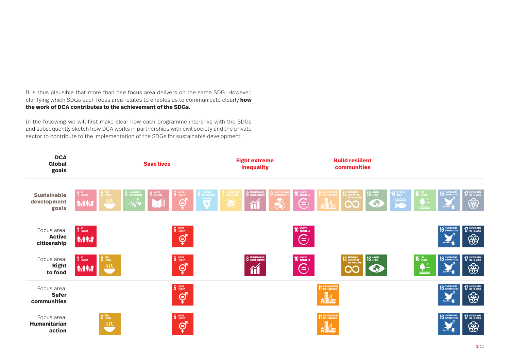It is thus plausible that more than one focus area delivers on the same SDG. However, clarifying which SDGs each focus area relates to enables us to communicate clearly **how the work of DCA contributes to the achievement of the SDGs.** 

In the following we will first make clear how each programme interlinks with the SDGs and subsequently sketch how DCA works in partnerships with civil society and the private sector to contribute to the implementation of the SDGs for sustainable development.

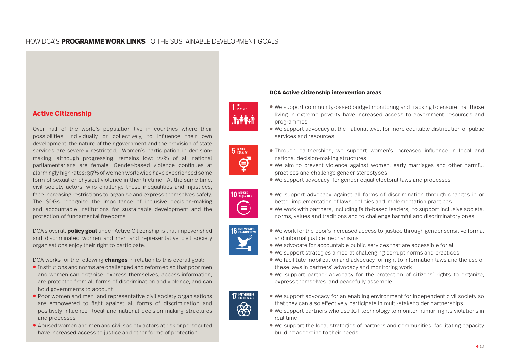# HOW DCA'S **PROGRAMME WORK LINKS** TO THE SUSTAINABLE DEVELOPMENT GOALS

# **Active Citizenship**

Over half of the world´s population live in countries where their possibilities, individually or collectively, to influence their own development, the nature of their government and the provision of state services are severely restricted. Women´s participation in decisionmaking, although progressing, remains low: 22% of all national parliamentarians are female. Gender-based violence continues at alarmingly high rates: 35% of women worldwide have experienced some form of sexual or physical violence in their lifetime. At the same time, civil society actors, who challenge these inequalities and injustices, face increasing restrictions to organise and express themselves safely. The SDGs recognise the importance of inclusive decision-making and accountable institutions for sustainable development and the protection of fundamental freedoms.

DCA´s overall **policy goal** under Active Citizenship is that impoverished and discriminated women and men and representative civil society organisations enjoy their right to participate.

DCA works for the following **changes** in relation to this overall goal:

- **●** Institutions and norms are challenged and reformed so that poor men and women can organise, express themselves, access information, are protected from all forms of discrimination and violence, and can hold governments to account
- **●** Poor women and men and representative civil society organisations are empowered to fight against all forms of discrimination and positively influence local and national decision-making structures and processes
- **●** Abused women and men and civil society actors at risk or persecuted have increased access to justice and other forms of protection

## **DCA Active citizenship intervention areas**

- **●** We support community-based budget monitoring and tracking to ensure that those living in extreme poverty have increased access to government resources and programmes
- **●** We support advocacy at the national level for more equitable distribution of public services and resources
- **●** Through partnerships, we support women's increased influence in local and national decision-making structures
- **●** We aim to prevent violence against women, early marriages and other harmful practices and challenge gender stereotypes
- **●** We support advocacy for gender equal electoral laws and processes



 $1<sup>NO</sup>$  poverty

 $5$  GENDER

 $\mathfrak{S}$ 

- **●** We support advocacy against all forms of discrimination through changes in or better implementation of laws, policies and implementation practices
- **●** We work with partners, including faith-based leaders, to support inclusive societal norms, values and traditions and to challenge harmful and discriminatory ones



- **●** We work for the poor´s increased access to justice through gender sensitive formal and informal justice mechanisms
- **●** We advocate for accountable public services that are accessible for all
- **●** We support strategies aimed at challenging corrupt norms and practices
- **●** We facilitate mobilization and advocacy for right to information laws and the use of these laws in partners´ advocacy and monitoring work
- **●** We support partner advocacy for the protection of citizens´ rights to organize, express themselves and peacefully assemble



- **●** We support advocacy for an enabling environment for independent civil society so that they can also effectively participate in multi-stakeholder partnerships
- **●** We support partners who use ICT technology to monitor human rights violations in real time
- **●** We support the local strategies of partners and communities, facilitating capacity building according to their needs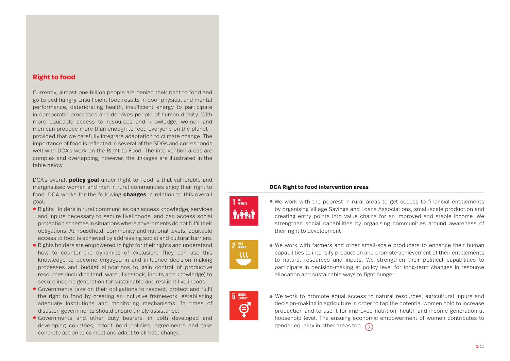# **Right to food**

Currently, almost one billion people are denied their right to food and go to bed hungry. Insufficient food results in poor physical and mental performance, deteriorating health, insufficient energy to participate in democratic processes and deprives people of human dignity. With more equitable access to resources and knowledge, women and men can produce more than enough to feed everyone on the planet – provided that we carefully integrate adaptation to climate change. The importance of food is reflected in several of the SDGs and corresponds well with DCA's work on the Right to Food. The intervention areas are complex and overlapping; however, the linkages are illustrated in the table below.

DCA´s overall **policy goal** under Right to Food is that vulnerable and marginalised women and men in rural communities enjoy their right to food. DCA works for the following **changes** in relation to this overall goal:

- **●** Rights Holders in rural communities can access knowledge, services and inputs necessary to secure livelihoods, and can access social protection schemes in situations where governments do not fulfil their obligations. At household, community and national levels, equitable access to food is achieved by addressing social and cultural barriers.
- **●** Rights holders are empowered to fight for their rights and understand how to counter the dynamics of exclusion. They can use this knowledge to become engaged in and influence decision making processes and budget allocations to gain control of productive resources (including land, water, livestock, inputs and knowledge) to secure income generation for sustainable and resilient livelihoods.
- **●** Governments take on their obligations to respect, protect and fulfil the right to food by creating an inclusive framework, establishing adequate institutions and monitoring mechanisms. In times of disaster, governments should ensure timely assistance.
- **●** Governments and other duty bearers, in both developed and developing countries, adopt bold policies, agreements and take concrete action to combat and adapt to climate change.

## **DCA Right to food intervention areas**



**●** We work with the poorest in rural areas to get access to financial entitlements by organising Village Savings and Loans Associations, small-scale production and creating entry points into value chains for an improved and stable income. We strengthen social capabilities by organising communities around awareness of their right to development



**●** We work with farmers and other small-scale producers to enhance their human capabilities to intensify production and promote achievement of their entitlements to natural resources and inputs. We strengthen their political capabilities to participate in decision-making at policy level for long-term changes in resource allocation and sustainable ways to fight hunger.



**●** We work to promote equal access to natural resources, agricultural inputs and decision-making in agriculture in order to tap the potential women hold to increase production and to use it for improved nutrition, health and income generation at household level. The ensuing economic empowerment of women contributes to gender equality in other areas too.  $\bigcirc$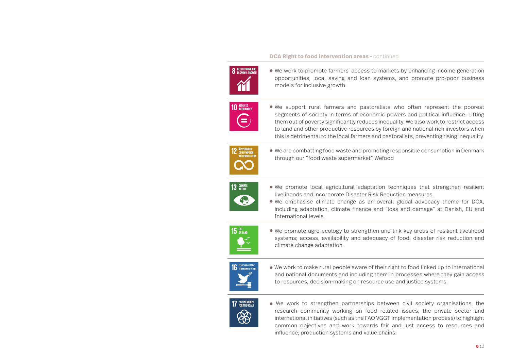#### **DCA Right to food intervention areas - continued**



**●** We work to promote farmers' access to markets by enhancing income generation opportunities, local saving and loan systems, and promote pro-poor business models for inclusive growth.



**●** We support rural farmers and pastoralists who often represent the poorest segments of society in terms of economic powers and political influence. Lifting them out of poverty significantly reduces inequality. We also work to restrict access to land and other productive resources by foreign and national rich investors when this is detrimental to the local farmers and pastoralists, preventing rising inequality.



**●** We are combatting food waste and promoting responsible consumption in Denmark through our "food waste supermarket" Wefood



- **●** We promote local agricultural adaptation techniques that strengthen resilient livelihoods and incorporate Disaster Risk Reduction measures.
- **●** We emphasise climate change as an overall global advocacy theme for DCA, including adaptation, climate finance and "loss and damage" at Danish, EU and International levels.



**●** We promote agro-ecology to strengthen and link key areas of resilient livelihood systems; access, availability and adequacy of food, disaster risk reduction and climate change adaptation.



**●** We work to make rural people aware of their right to food linked up to international and national documents and including them in processes where they gain access to resources, decision-making on resource use and justice systems.



**●** We work to strengthen partnerships between civil society organisations, the research community working on food related issues, the private sector and international initiatives (such as the FAO VGGT implementation process) to highlight common objectives and work towards fair and just access to resources and influence; production systems and value chains.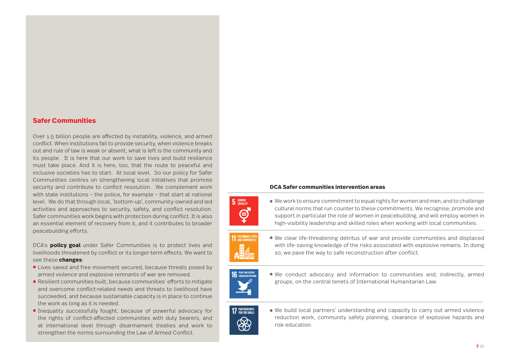## **Safer Communities**

Over 1.5 billion people are affected by instability, violence, and armed conflict. When institutions fail to provide security, when violence breaks out and rule of law is weak or absent, what is left is the community and its people. It is here that our work to save lives and build resilience must take place. And it is here, too, that the route to peaceful and inclusive societies has to start. At local level. So our policy for Safer Communities centres on strengthening local initiatives that promote security and contribute to conflict resolution. We complement work with state institutions – the police, for example – that start at national level. We do that through local, 'bottom-up', community-owned and led activities and approaches to security, safety, and conflict resolution. Safer communities work begins with protection during conflict. It is also an essential element of recovery from it, and it contributes to broader peacebuilding efforts.

DCA's **policy goal** under Safer Communities is to protect lives and livelihoods threatened by conflict or its longer-term effects. We want to see these **changes**:

- **●** Lives saved and free movement secured, because threats posed by armed violence and explosive remnants of war are removed.
- **●** Resilient communities built, because communities' efforts to mitigate and overcome conflict-related needs and threats to livelihood have succeeded, and because sustainable capacity is in place to continue the work as long as it is needed.
- **●** Inequality successfully fought, because of powerful advocacy for the rights of conflict-affected communities with duty bearers, and at international level through disarmament treaties and work to strengthen the norms surrounding the Law of Armed Conflict.

## **DCA Safer communities intervention areas**



**●** We work to ensure commitment to equal rights for women and men, and to challenge cultural norms that run counter to these commitments. We recognise, promote and support in particular the role of women in peacebuilding, and will employ women in high-visibility leadership and skilled roles when working with local communities.



**●** We clear life-threatening detritus of war and provide communities and displaced with life-saving knowledge of the risks associated with explosive remains. In doing so, we pave the way to safe reconstruction after conflict.



**●** We conduct advocacy and information to communities and, indirectly, armed groups, on the central tenets of International Humanitarian Law.



**●** We build local partners' understanding and capacity to carry out armed violence reduction work, community safety planning, clearance of explosive hazards and risk education.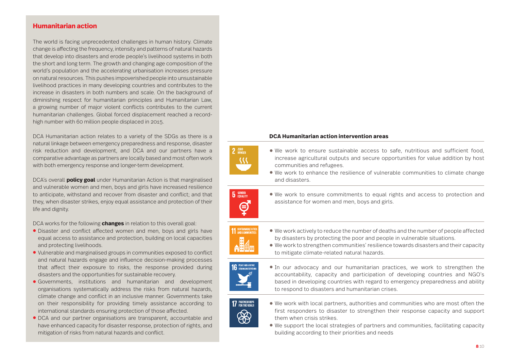# **Humanitarian action**

The world is facing unprecedented challenges in human history. Climate change is affecting the frequency, intensity and patterns of natural hazards that develop into disasters and erode people's livelihood systems in both the short and long term. The growth and changing age composition of the world's population and the accelerating urbanisation increases pressure on natural resources. This pushes impoverished people into unsustainable livelihood practices in many developing countries and contributes to the increase in disasters in both numbers and scale. On the background of diminishing respect for humanitarian principles and Humanitarian Law, a growing number of major violent conflicts contributes to the current humanitarian challenges. Global forced displacement reached a recordhigh number with 60 million people displaced in 2015.

DCA Humanitarian action relates to a variety of the SDGs as there is a natural linkage between emergency preparedness and response, disaster risk reduction and development, and DCA and our partners have a comparative advantage as partners are locally based and most often work with both emergency response and longer-term development.

DCA´s overall **policy goal** under Humanitarian Action is that marginalised and vulnerable women and men, boys and girls have increased resilience to anticipate, withstand and recover from disaster and conflict; and that they, when disaster strikes, enjoy equal assistance and protection of their life and dignity.

DCA works for the following **changes** in relation to this overall goal:

- **●** Disaster and conflict affected women and men, boys and girls have equal access to assistance and protection, building on local capacities and protecting livelihoods.
- **●** Vulnerable and marginalised groups in communities exposed to conflict and natural hazards engage and influence decision-making processes that affect their exposure to risks, the response provided during disasters and the opportunities for sustainable recovery.
- **●** Governments, institutions and humanitarian and development organisations systematically address the risks from natural hazards, climate change and conflict in an inclusive manner. Governments take on their responsibility for providing timely assistance according to international standards ensuring protection of those affected.
- **●** DCA and our partner organisations are transparent, accountable and have enhanced capacity for disaster response, protection of rights, and mitigation of risks from natural hazards and conflict.

## **DCA Humanitarian action intervention areas**

- **●** We work to ensure sustainable access to safe, nutritious and sufficient food, increase agricultural outputs and secure opportunities for value addition by host communities and refugees.
- **●** We work to enhance the resilience of vulnerable communities to climate change and disasters.





 $2$  ZERO  $\vee$ 

**5** GENDER

 $\boldsymbol{\ominus}$ 

- **●** We work actively to reduce the number of deaths and the number of people affected by disasters by protecting the poor and people in vulnerable situations.
- **●** We work to strengthen communities' resilience towards disasters and their capacity to mitigate climate-related natural hazards.



**●** In our advocacy and our humanitarian practices, we work to strengthen the accountability, capacity and participation of developing countries and NGO's based in developing countries with regard to emergency preparedness and ability to respond to disasters and humanitarian crises.



- We work with local partners, authorities and communities who are most often the first responders to disaster to strengthen their response capacity and support them when crisis strikes.
- **●** We support the local strategies of partners and communities, facilitating capacity building according to their priorities and needs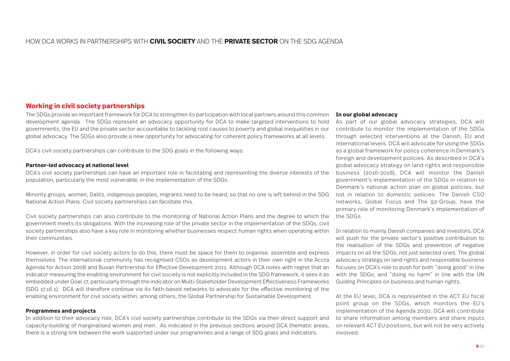# HOW DCA WORKS IN PARTNERSHIPS WITH **CIVIL SOCIETY** AND THE **PRIVATE SECTOR** ON THE SDG AGENDA

## **Working in civil society partnerships**

The SDGs provide an important framework for DCA to strengthen its participation with local partners around this common development agenda. The SDGs represent an advocacy opportunity for DCA to make targeted interventions to hold governments, the EU and the private sector accountable to tackling root causes to poverty and global inequalities in our global advocacy. The SDGs also provide a new opportunity for advocating for coherent policy frameworks at all levels.

DCA´s civil society partnerships can contribute to the SDG goals in the following ways:

## **Partner-led advocacy at national level**

DCA´s civil society partnerships can have an important role in facilitating and representing the diverse interests of the population, particularly the most vulnerable, in the implementation of the SDGs.

Minority groups, women, Dalits, indigenous peoples, migrants need to be heard, so that no one is left behind in the SDG National Action Plans. Civil society partnerships can facilitate this.

Civil society partnerships can also contribute to the monitoring of National Action Plans and the degree to which the the SDGs. government meets its obligations. With the increasing role of the private sector in the implementation of the SDGs, civil society partnerships also have a key role in monitoring whether businesses respect human rights when operating within their communities.

However, in order for civil society actors to do this, there must be space for them to organise, assemble and express themselves. The international community has recognised CSOs as development actors in their own right in the Accra Agenda for Action 2008 and Busan Partnership for Effective Development 2011. Although DCA notes with regret that an indicator measuring the enabling environment for civil society is not explicitly included in the SDG framework, it sees it as embedded under Goal 17, particularly through the indicator on Multi-Stakeholder Development Effectiveness Frameworks (SDG 17.16.1). DCA will therefore continue via its faith-based networks to advocate for the effective monitoring of the enabling environment for civil society within, among others, the Global Partnership for Sustainable Development.

## **Programmes and projects**

In addition to their advocacy role, DCA´s civil society partnerships contribute to the SDGs via their direct support and capacity-building of marginalised women and men. As indicated in the previous sections around DCA thematic areas, there is a strong link between the work supported under our programmes and a range of SDG goals and indicators.

## **In our global advocacy**

As part of our global advocacy strategies, DCA will contribute to monitor the implementation of the SDGs through selected interventions at the Danish, EU and international levels. DCA will advocate for using the SDGs as a global framework for policy coherence in Denmark's foreign and development policies. As described in DCA's global advocacy strategy on land rights and responsible business (2016-2018), DCA will monitor the Danish government's implementation of the SDGs in relation to Denmark's national action plan on global policies, but not in relation to domestic policies. The Danish CSO networks, Global Focus and The 92-Group, have the primary role of monitoring Denmark's implementation of

In relation to mainly Danish companies and investors, DCA will push for the private sector's positive contribution to the realisation of the SDGs and prevention of negative impacts on all the SDGs, not just selected ones. The global advocacy strategy on land rights and responsible business focuses on DCA's role to push for both "doing good" in line with the SDGs, and "doing no harm" in line with the UN Guiding Principles on business and human rights.

At the EU level, DCA is represented in the ACT EU focal point group on the SDGs, which monitors the EU's implementation of the Agenda 2030. DCA will contribute to share information among members and share inputs on relevant ACT EU positions, but will not be very actively involved.